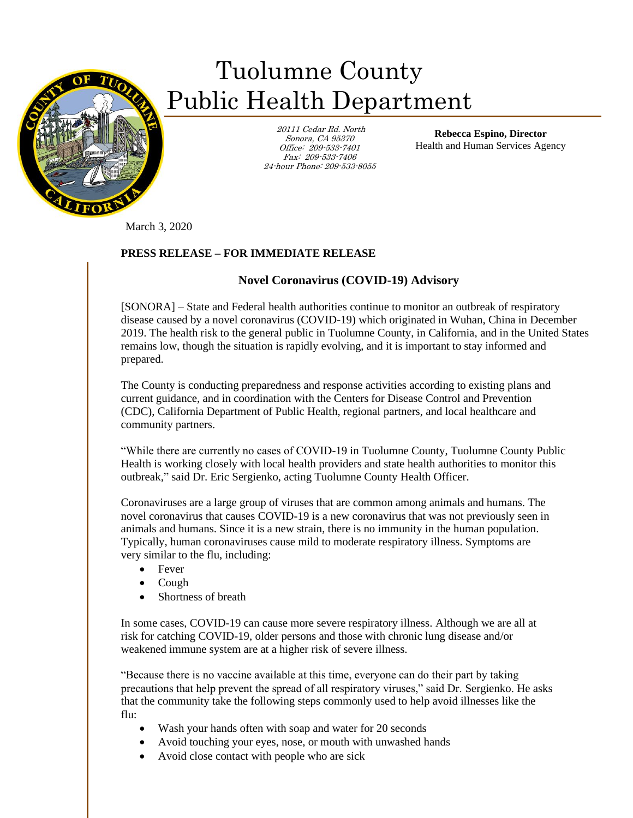

## Tuolumne County Public Health Department

 20111 Cedar Rd. North Sonora, CA 95370 Office: 209-533-7401 Fax: 209-533-7406 24-hour Phone: 209-533-8055

**Rebecca Espino, Director** Health and Human Services Agency

March 3, 2020

## **PRESS RELEASE – FOR IMMEDIATE RELEASE**

## **Novel Coronavirus (COVID-19) Advisory**

[SONORA] – State and Federal health authorities continue to monitor an outbreak of respiratory disease caused by a novel coronavirus (COVID-19) which originated in Wuhan, China in December 2019. The health risk to the general public in Tuolumne County, in California, and in the United States remains low, though the situation is rapidly evolving, and it is important to stay informed and prepared.

The County is conducting preparedness and response activities according to existing plans and current guidance, and in coordination with the Centers for Disease Control and Prevention (CDC), California Department of Public Health, regional partners, and local healthcare and community partners.

"While there are currently no cases of COVID-19 in Tuolumne County, Tuolumne County Public Health is working closely with local health providers and state health authorities to monitor this outbreak," said Dr. Eric Sergienko, acting Tuolumne County Health Officer.

Coronaviruses are a large group of viruses that are common among animals and humans. The novel coronavirus that causes COVID-19 is a new coronavirus that was not previously seen in animals and humans. Since it is a new strain, there is no immunity in the human population. Typically, human coronaviruses cause mild to moderate respiratory illness. Symptoms are very similar to the flu, including:

- Fever
- Cough
- Shortness of breath

In some cases, COVID-19 can cause more severe respiratory illness. Although we are all at risk for catching COVID-19, older persons and those with chronic lung disease and/or weakened immune system are at a higher risk of severe illness.

"Because there is no vaccine available at this time, everyone can do their part by taking precautions that help prevent the spread of all respiratory viruses," said Dr. Sergienko. He asks that the community take the following steps commonly used to help avoid illnesses like the flu:

- Wash your hands often with soap and water for 20 seconds
- Avoid touching your eyes, nose, or mouth with unwashed hands
- Avoid close contact with people who are sick